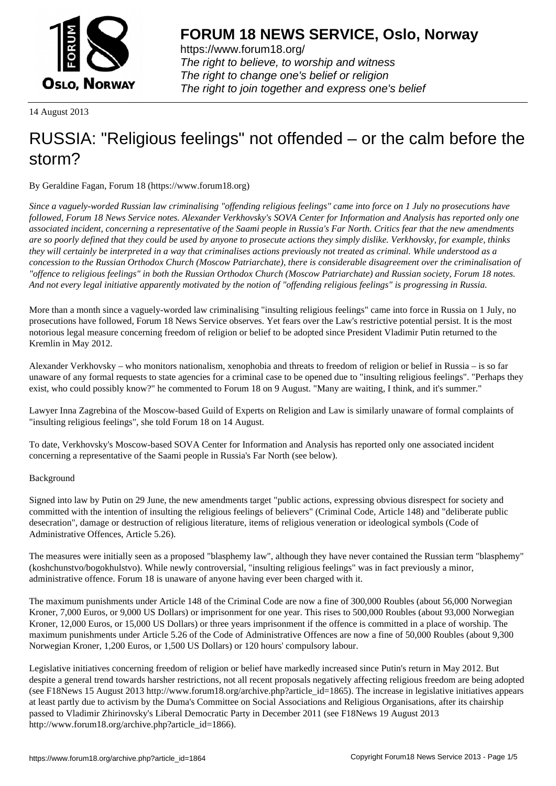

https://www.forum18.org/ The right to believe, to worship and witness The right to change one's belief or religion [The right to join together a](https://www.forum18.org/)nd express one's belief

14 August 2013

# [RUSSIA: "Relig](https://www.forum18.org)ious feelings" not offended – or the calm before the storm?

By Geraldine Fagan, Forum 18 (https://www.forum18.org)

*Since a vaguely-worded Russian law criminalising "offending religious feelings" came into force on 1 July no prosecutions have followed, Forum 18 News Service notes. Alexander Verkhovsky's SOVA Center for Information and Analysis has reported only one associated incident, concerning a representative of the Saami people in Russia's Far North. Critics fear that the new amendments are so poorly defined that they could be used by anyone to prosecute actions they simply dislike. Verkhovsky, for example, thinks they will certainly be interpreted in a way that criminalises actions previously not treated as criminal. While understood as a concession to the Russian Orthodox Church (Moscow Patriarchate), there is considerable disagreement over the criminalisation of "offence to religious feelings" in both the Russian Orthodox Church (Moscow Patriarchate) and Russian society, Forum 18 notes. And not every legal initiative apparently motivated by the notion of "offending religious feelings" is progressing in Russia.*

More than a month since a vaguely-worded law criminalising "insulting religious feelings" came into force in Russia on 1 July, no prosecutions have followed, Forum 18 News Service observes. Yet fears over the Law's restrictive potential persist. It is the most notorious legal measure concerning freedom of religion or belief to be adopted since President Vladimir Putin returned to the Kremlin in May 2012.

Alexander Verkhovsky – who monitors nationalism, xenophobia and threats to freedom of religion or belief in Russia – is so far unaware of any formal requests to state agencies for a criminal case to be opened due to "insulting religious feelings". "Perhaps they exist, who could possibly know?" he commented to Forum 18 on 9 August. "Many are waiting, I think, and it's summer."

Lawyer Inna Zagrebina of the Moscow-based Guild of Experts on Religion and Law is similarly unaware of formal complaints of "insulting religious feelings", she told Forum 18 on 14 August.

To date, Verkhovsky's Moscow-based SOVA Center for Information and Analysis has reported only one associated incident concerning a representative of the Saami people in Russia's Far North (see below).

# Background

Signed into law by Putin on 29 June, the new amendments target "public actions, expressing obvious disrespect for society and committed with the intention of insulting the religious feelings of believers" (Criminal Code, Article 148) and "deliberate public desecration", damage or destruction of religious literature, items of religious veneration or ideological symbols (Code of Administrative Offences, Article 5.26).

The measures were initially seen as a proposed "blasphemy law", although they have never contained the Russian term "blasphemy" (koshchunstvo/bogokhulstvo). While newly controversial, "insulting religious feelings" was in fact previously a minor, administrative offence. Forum 18 is unaware of anyone having ever been charged with it.

The maximum punishments under Article 148 of the Criminal Code are now a fine of 300,000 Roubles (about 56,000 Norwegian Kroner, 7,000 Euros, or 9,000 US Dollars) or imprisonment for one year. This rises to 500,000 Roubles (about 93,000 Norwegian Kroner, 12,000 Euros, or 15,000 US Dollars) or three years imprisonment if the offence is committed in a place of worship. The maximum punishments under Article 5.26 of the Code of Administrative Offences are now a fine of 50,000 Roubles (about 9,300 Norwegian Kroner, 1,200 Euros, or 1,500 US Dollars) or 120 hours' compulsory labour.

Legislative initiatives concerning freedom of religion or belief have markedly increased since Putin's return in May 2012. But despite a general trend towards harsher restrictions, not all recent proposals negatively affecting religious freedom are being adopted (see F18News 15 August 2013 http://www.forum18.org/archive.php?article\_id=1865). The increase in legislative initiatives appears at least partly due to activism by the Duma's Committee on Social Associations and Religious Organisations, after its chairship passed to Vladimir Zhirinovsky's Liberal Democratic Party in December 2011 (see F18News 19 August 2013 http://www.forum18.org/archive.php?article\_id=1866).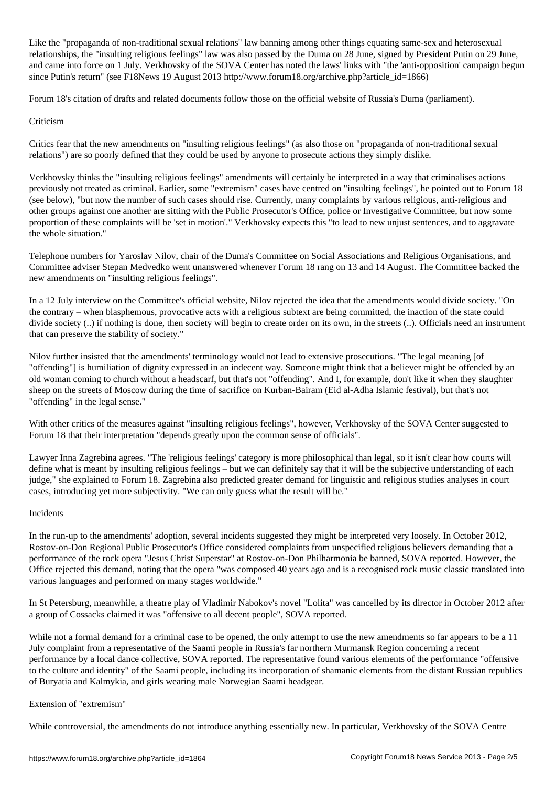Like the "propaganda of non-traditional sexual relations" law banning among other things equating same-sex and heterosexual relationships, the "insulting religious feelings" law was also passed by the Duma on 28 June, signed by President Putin on 29 June, and came into force on 1 July. Verkhovsky of the SOVA Center has noted the laws' links with "the 'anti-opposition' campaign begun since Putin's return" (see F18News 19 August 2013 http://www.forum18.org/archive.php?article\_id=1866)

Forum 18's citation of drafts and related documents follow those on the official website of Russia's Duma (parliament).

## Criticism

Critics fear that the new amendments on "insulting religious feelings" (as also those on "propaganda of non-traditional sexual relations") are so poorly defined that they could be used by anyone to prosecute actions they simply dislike.

Verkhovsky thinks the "insulting religious feelings" amendments will certainly be interpreted in a way that criminalises actions previously not treated as criminal. Earlier, some "extremism" cases have centred on "insulting feelings", he pointed out to Forum 18 (see below), "but now the number of such cases should rise. Currently, many complaints by various religious, anti-religious and other groups against one another are sitting with the Public Prosecutor's Office, police or Investigative Committee, but now some proportion of these complaints will be 'set in motion'." Verkhovsky expects this "to lead to new unjust sentences, and to aggravate the whole situation."

Telephone numbers for Yaroslav Nilov, chair of the Duma's Committee on Social Associations and Religious Organisations, and Committee adviser Stepan Medvedko went unanswered whenever Forum 18 rang on 13 and 14 August. The Committee backed the new amendments on "insulting religious feelings".

In a 12 July interview on the Committee's official website, Nilov rejected the idea that the amendments would divide society. "On the contrary – when blasphemous, provocative acts with a religious subtext are being committed, the inaction of the state could divide society (..) if nothing is done, then society will begin to create order on its own, in the streets (..). Officials need an instrument that can preserve the stability of society."

Nilov further insisted that the amendments' terminology would not lead to extensive prosecutions. "The legal meaning [of "offending"] is humiliation of dignity expressed in an indecent way. Someone might think that a believer might be offended by an old woman coming to church without a headscarf, but that's not "offending". And I, for example, don't like it when they slaughter sheep on the streets of Moscow during the time of sacrifice on Kurban-Bairam (Eid al-Adha Islamic festival), but that's not "offending" in the legal sense."

With other critics of the measures against "insulting religious feelings", however, Verkhovsky of the SOVA Center suggested to Forum 18 that their interpretation "depends greatly upon the common sense of officials".

Lawyer Inna Zagrebina agrees. "The 'religious feelings' category is more philosophical than legal, so it isn't clear how courts will define what is meant by insulting religious feelings – but we can definitely say that it will be the subjective understanding of each judge," she explained to Forum 18. Zagrebina also predicted greater demand for linguistic and religious studies analyses in court cases, introducing yet more subjectivity. "We can only guess what the result will be."

### Incidents

In the run-up to the amendments' adoption, several incidents suggested they might be interpreted very loosely. In October 2012, Rostov-on-Don Regional Public Prosecutor's Office considered complaints from unspecified religious believers demanding that a performance of the rock opera "Jesus Christ Superstar" at Rostov-on-Don Philharmonia be banned, SOVA reported. However, the Office rejected this demand, noting that the opera "was composed 40 years ago and is a recognised rock music classic translated into various languages and performed on many stages worldwide."

In St Petersburg, meanwhile, a theatre play of Vladimir Nabokov's novel "Lolita" was cancelled by its director in October 2012 after a group of Cossacks claimed it was "offensive to all decent people", SOVA reported.

While not a formal demand for a criminal case to be opened, the only attempt to use the new amendments so far appears to be a 11 July complaint from a representative of the Saami people in Russia's far northern Murmansk Region concerning a recent performance by a local dance collective, SOVA reported. The representative found various elements of the performance "offensive to the culture and identity" of the Saami people, including its incorporation of shamanic elements from the distant Russian republics of Buryatia and Kalmykia, and girls wearing male Norwegian Saami headgear.

# Extension of "extremism"

While controversial, the amendments do not introduce anything essentially new. In particular, Verkhovsky of the SOVA Centre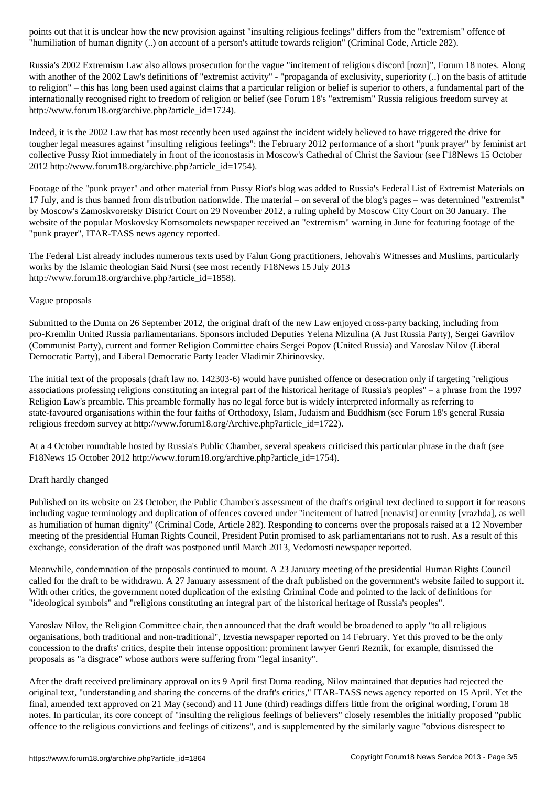"humiliation of human dignity (..) on account of a person's attitude towards religion" (Criminal Code, Article 282).

Russia's 2002 Extremism Law also allows prosecution for the vague "incitement of religious discord [rozn]", Forum 18 notes. Along with another of the 2002 Law's definitions of "extremist activity" - "propaganda of exclusivity, superiority (..) on the basis of attitude to religion" – this has long been used against claims that a particular religion or belief is superior to others, a fundamental part of the internationally recognised right to freedom of religion or belief (see Forum 18's "extremism" Russia religious freedom survey at http://www.forum18.org/archive.php?article\_id=1724).

Indeed, it is the 2002 Law that has most recently been used against the incident widely believed to have triggered the drive for tougher legal measures against "insulting religious feelings": the February 2012 performance of a short "punk prayer" by feminist art collective Pussy Riot immediately in front of the iconostasis in Moscow's Cathedral of Christ the Saviour (see F18News 15 October 2012 http://www.forum18.org/archive.php?article\_id=1754).

Footage of the "punk prayer" and other material from Pussy Riot's blog was added to Russia's Federal List of Extremist Materials on 17 July, and is thus banned from distribution nationwide. The material – on several of the blog's pages – was determined "extremist" by Moscow's Zamoskvoretsky District Court on 29 November 2012, a ruling upheld by Moscow City Court on 30 January. The website of the popular Moskovsky Komsomolets newspaper received an "extremism" warning in June for featuring footage of the "punk prayer", ITAR-TASS news agency reported.

The Federal List already includes numerous texts used by Falun Gong practitioners, Jehovah's Witnesses and Muslims, particularly works by the Islamic theologian Said Nursi (see most recently F18News 15 July 2013 http://www.forum18.org/archive.php?article\_id=1858).

## Vague proposals

Submitted to the Duma on 26 September 2012, the original draft of the new Law enjoyed cross-party backing, including from pro-Kremlin United Russia parliamentarians. Sponsors included Deputies Yelena Mizulina (A Just Russia Party), Sergei Gavrilov (Communist Party), current and former Religion Committee chairs Sergei Popov (United Russia) and Yaroslav Nilov (Liberal Democratic Party), and Liberal Democratic Party leader Vladimir Zhirinovsky.

The initial text of the proposals (draft law no. 142303-6) would have punished offence or desecration only if targeting "religious associations professing religions constituting an integral part of the historical heritage of Russia's peoples" – a phrase from the 1997 Religion Law's preamble. This preamble formally has no legal force but is widely interpreted informally as referring to state-favoured organisations within the four faiths of Orthodoxy, Islam, Judaism and Buddhism (see Forum 18's general Russia religious freedom survey at http://www.forum18.org/Archive.php?article\_id=1722).

At a 4 October roundtable hosted by Russia's Public Chamber, several speakers criticised this particular phrase in the draft (see F18News 15 October 2012 http://www.forum18.org/archive.php?article\_id=1754).

### Draft hardly changed

Published on its website on 23 October, the Public Chamber's assessment of the draft's original text declined to support it for reasons including vague terminology and duplication of offences covered under "incitement of hatred [nenavist] or enmity [vrazhda], as well as humiliation of human dignity" (Criminal Code, Article 282). Responding to concerns over the proposals raised at a 12 November meeting of the presidential Human Rights Council, President Putin promised to ask parliamentarians not to rush. As a result of this exchange, consideration of the draft was postponed until March 2013, Vedomosti newspaper reported.

Meanwhile, condemnation of the proposals continued to mount. A 23 January meeting of the presidential Human Rights Council called for the draft to be withdrawn. A 27 January assessment of the draft published on the government's website failed to support it. With other critics, the government noted duplication of the existing Criminal Code and pointed to the lack of definitions for "ideological symbols" and "religions constituting an integral part of the historical heritage of Russia's peoples".

Yaroslav Nilov, the Religion Committee chair, then announced that the draft would be broadened to apply "to all religious organisations, both traditional and non-traditional", Izvestia newspaper reported on 14 February. Yet this proved to be the only concession to the drafts' critics, despite their intense opposition: prominent lawyer Genri Reznik, for example, dismissed the proposals as "a disgrace" whose authors were suffering from "legal insanity".

After the draft received preliminary approval on its 9 April first Duma reading, Nilov maintained that deputies had rejected the original text, "understanding and sharing the concerns of the draft's critics," ITAR-TASS news agency reported on 15 April. Yet the final, amended text approved on 21 May (second) and 11 June (third) readings differs little from the original wording, Forum 18 notes. In particular, its core concept of "insulting the religious feelings of believers" closely resembles the initially proposed "public offence to the religious convictions and feelings of citizens", and is supplemented by the similarly vague "obvious disrespect to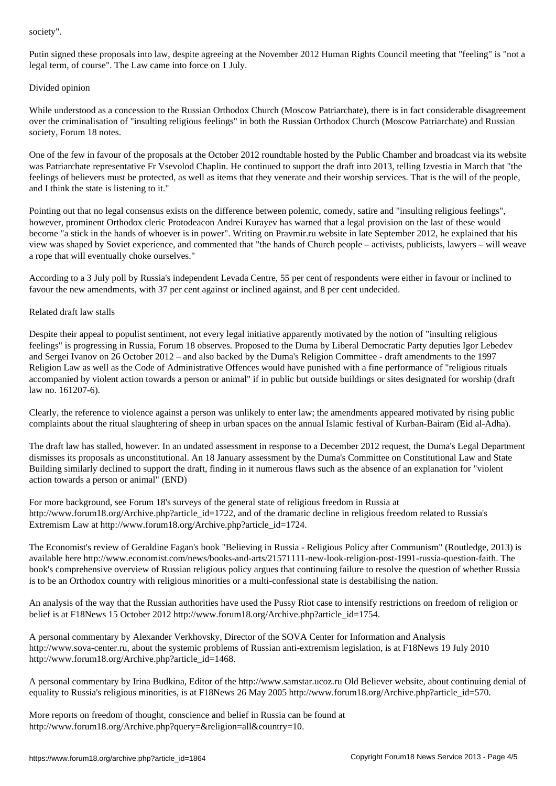Putin signed these proposals into law, despite agreeing at the November 2012 Human Rights Council meeting that "feeling" is "not a legal term, of course". The Law came into force on 1 July.

### Divided opinion

While understood as a concession to the Russian Orthodox Church (Moscow Patriarchate), there is in fact considerable disagreement over the criminalisation of "insulting religious feelings" in both the Russian Orthodox Church (Moscow Patriarchate) and Russian society, Forum 18 notes.

One of the few in favour of the proposals at the October 2012 roundtable hosted by the Public Chamber and broadcast via its website was Patriarchate representative Fr Vsevolod Chaplin. He continued to support the draft into 2013, telling Izvestia in March that "the feelings of believers must be protected, as well as items that they venerate and their worship services. That is the will of the people, and I think the state is listening to it."

Pointing out that no legal consensus exists on the difference between polemic, comedy, satire and "insulting religious feelings", however, prominent Orthodox cleric Protodeacon Andrei Kurayev has warned that a legal provision on the last of these would become "a stick in the hands of whoever is in power". Writing on Pravmir.ru website in late September 2012, he explained that his view was shaped by Soviet experience, and commented that "the hands of Church people – activists, publicists, lawyers – will weave a rope that will eventually choke ourselves."

According to a 3 July poll by Russia's independent Levada Centre, 55 per cent of respondents were either in favour or inclined to favour the new amendments, with 37 per cent against or inclined against, and 8 per cent undecided.

## Related draft law stalls

Despite their appeal to populist sentiment, not every legal initiative apparently motivated by the notion of "insulting religious feelings" is progressing in Russia, Forum 18 observes. Proposed to the Duma by Liberal Democratic Party deputies Igor Lebedev and Sergei Ivanov on 26 October 2012 – and also backed by the Duma's Religion Committee - draft amendments to the 1997 Religion Law as well as the Code of Administrative Offences would have punished with a fine performance of "religious rituals accompanied by violent action towards a person or animal" if in public but outside buildings or sites designated for worship (draft law no. 161207-6).

Clearly, the reference to violence against a person was unlikely to enter law; the amendments appeared motivated by rising public complaints about the ritual slaughtering of sheep in urban spaces on the annual Islamic festival of Kurban-Bairam (Eid al-Adha).

The draft law has stalled, however. In an undated assessment in response to a December 2012 request, the Duma's Legal Department dismisses its proposals as unconstitutional. An 18 January assessment by the Duma's Committee on Constitutional Law and State Building similarly declined to support the draft, finding in it numerous flaws such as the absence of an explanation for "violent action towards a person or animal" (END)

For more background, see Forum 18's surveys of the general state of religious freedom in Russia at http://www.forum18.org/Archive.php?article\_id=1722, and of the dramatic decline in religious freedom related to Russia's Extremism Law at http://www.forum18.org/Archive.php?article\_id=1724.

The Economist's review of Geraldine Fagan's book "Believing in Russia - Religious Policy after Communism" (Routledge, 2013) is available here http://www.economist.com/news/books-and-arts/21571111-new-look-religion-post-1991-russia-question-faith. The book's comprehensive overview of Russian religious policy argues that continuing failure to resolve the question of whether Russia is to be an Orthodox country with religious minorities or a multi-confessional state is destabilising the nation.

An analysis of the way that the Russian authorities have used the Pussy Riot case to intensify restrictions on freedom of religion or belief is at F18News 15 October 2012 http://www.forum18.org/Archive.php?article\_id=1754.

A personal commentary by Alexander Verkhovsky, Director of the SOVA Center for Information and Analysis http://www.sova-center.ru, about the systemic problems of Russian anti-extremism legislation, is at F18News 19 July 2010 http://www.forum18.org/Archive.php?article\_id=1468.

A personal commentary by Irina Budkina, Editor of the http://www.samstar.ucoz.ru Old Believer website, about continuing denial of equality to Russia's religious minorities, is at F18News 26 May 2005 http://www.forum18.org/Archive.php?article\_id=570.

More reports on freedom of thought, conscience and belief in Russia can be found at http://www.forum18.org/Archive.php?query=&religion=all&country=10.